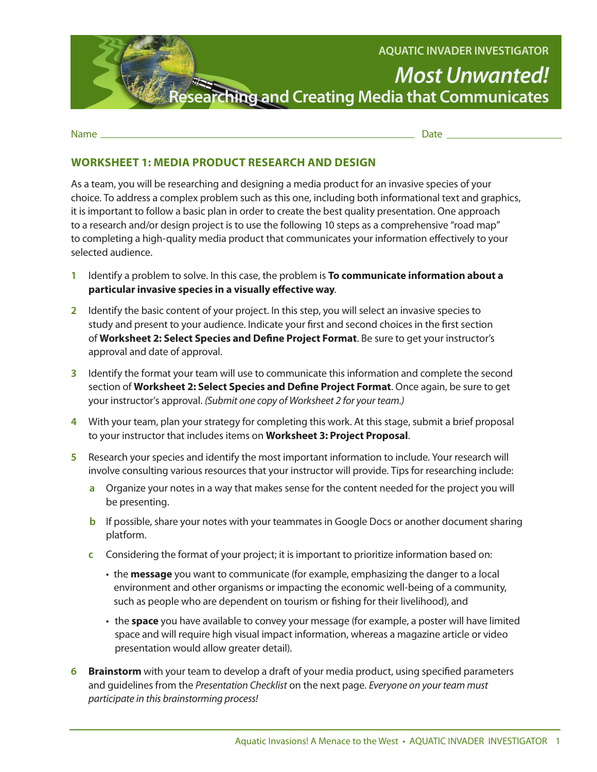

Name Date

## **WORKSHEET 1: MEDIA PRODUCT RESEARCH AND DESIGN**

As a team, you will be researching and designing a media product for an invasive species of your choice. To address a complex problem such as this one, including both informational text and graphics, it is important to follow a basic plan in order to create the best quality presentation. One approach to a research and/or design project is to use the following 10 steps as a comprehensive "road map" to completing a high-quality media product that communicates your information effectively to your selected audience.

- **1** Identify a problem to solve. In this case, the problem is **To communicate information about a particular invasive species in a visually effective way**.
- **2** Identify the basic content of your project. In this step, you will select an invasive species to study and present to your audience. Indicate your first and second choices in the first section of **Worksheet 2: Select Species and Define Project Format**. Be sure to get your instructor's approval and date of approval.
- **3** Identify the format your team will use to communicate this information and complete the second section of **Worksheet 2: Select Species and Define Project Format**. Once again, be sure to get your instructor's approval. *(Submit one copy of Worksheet 2 for your team.)*
- **4** With your team, plan your strategy for completing this work. At this stage, submit a brief proposal to your instructor that includes items on **Worksheet 3: Project Proposal**.
- **5** Research your species and identify the most important information to include. Your research will involve consulting various resources that your instructor will provide. Tips for researching include:
	- **a** Organize your notes in a way that makes sense for the content needed for the project you will be presenting.
	- **b** If possible, share your notes with your teammates in Google Docs or another document sharing platform.
	- **c** Considering the format of your project; it is important to prioritize information based on:
		- the **message** you want to communicate (for example, emphasizing the danger to a local environment and other organisms or impacting the economic well-being of a community, such as people who are dependent on tourism or fishing for their livelihood), and
		- the **space** you have available to convey your message (for example, a poster will have limited space and will require high visual impact information, whereas a magazine article or video presentation would allow greater detail).
- **6 Brainstorm** with your team to develop a draft of your media product, using specified parameters and guidelines from the *Presentation Checklist* on the next page. *Everyone on your team must participate in this brainstorming process!*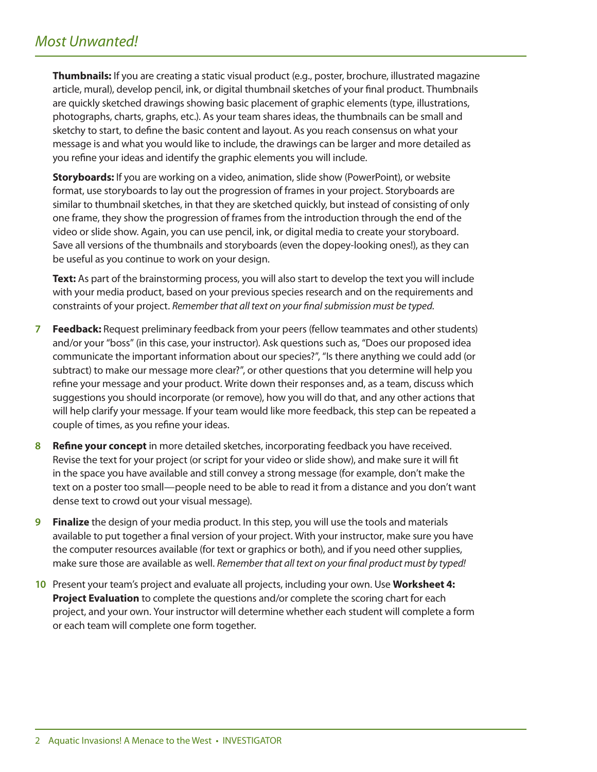**Thumbnails:** If you are creating a static visual product (e.g., poster, brochure, illustrated magazine article, mural), develop pencil, ink, or digital thumbnail sketches of your final product. Thumbnails are quickly sketched drawings showing basic placement of graphic elements (type, illustrations, photographs, charts, graphs, etc.). As your team shares ideas, the thumbnails can be small and sketchy to start, to define the basic content and layout. As you reach consensus on what your message is and what you would like to include, the drawings can be larger and more detailed as you refine your ideas and identify the graphic elements you will include.

**Storyboards:** If you are working on a video, animation, slide show (PowerPoint), or website format, use storyboards to lay out the progression of frames in your project. Storyboards are similar to thumbnail sketches, in that they are sketched quickly, but instead of consisting of only one frame, they show the progression of frames from the introduction through the end of the video or slide show. Again, you can use pencil, ink, or digital media to create your storyboard. Save all versions of the thumbnails and storyboards (even the dopey-looking ones!), as they can be useful as you continue to work on your design.

**Text:** As part of the brainstorming process, you will also start to develop the text you will include with your media product, based on your previous species research and on the requirements and constraints of your project. *Remember that all text on your final submission must be typed.* 

- **7 Feedback:** Request preliminary feedback from your peers (fellow teammates and other students) and/or your "boss" (in this case, your instructor). Ask questions such as, "Does our proposed idea communicate the important information about our species?", "Is there anything we could add (or subtract) to make our message more clear?", or other questions that you determine will help you refine your message and your product. Write down their responses and, as a team, discuss which suggestions you should incorporate (or remove), how you will do that, and any other actions that will help clarify your message. If your team would like more feedback, this step can be repeated a couple of times, as you refine your ideas.
- **8 Refine your concept** in more detailed sketches, incorporating feedback you have received. Revise the text for your project (or script for your video or slide show), and make sure it will fit in the space you have available and still convey a strong message (for example, don't make the text on a poster too small—people need to be able to read it from a distance and you don't want dense text to crowd out your visual message).
- **9 Finalize** the design of your media product. In this step, you will use the tools and materials available to put together a final version of your project. With your instructor, make sure you have the computer resources available (for text or graphics or both), and if you need other supplies, make sure those are available as well. *Remember that all text on your final product must by typed!*
- **10** Present your team's project and evaluate all projects, including your own. Use **Worksheet 4: Project Evaluation** to complete the questions and/or complete the scoring chart for each project, and your own. Your instructor will determine whether each student will complete a form or each team will complete one form together.